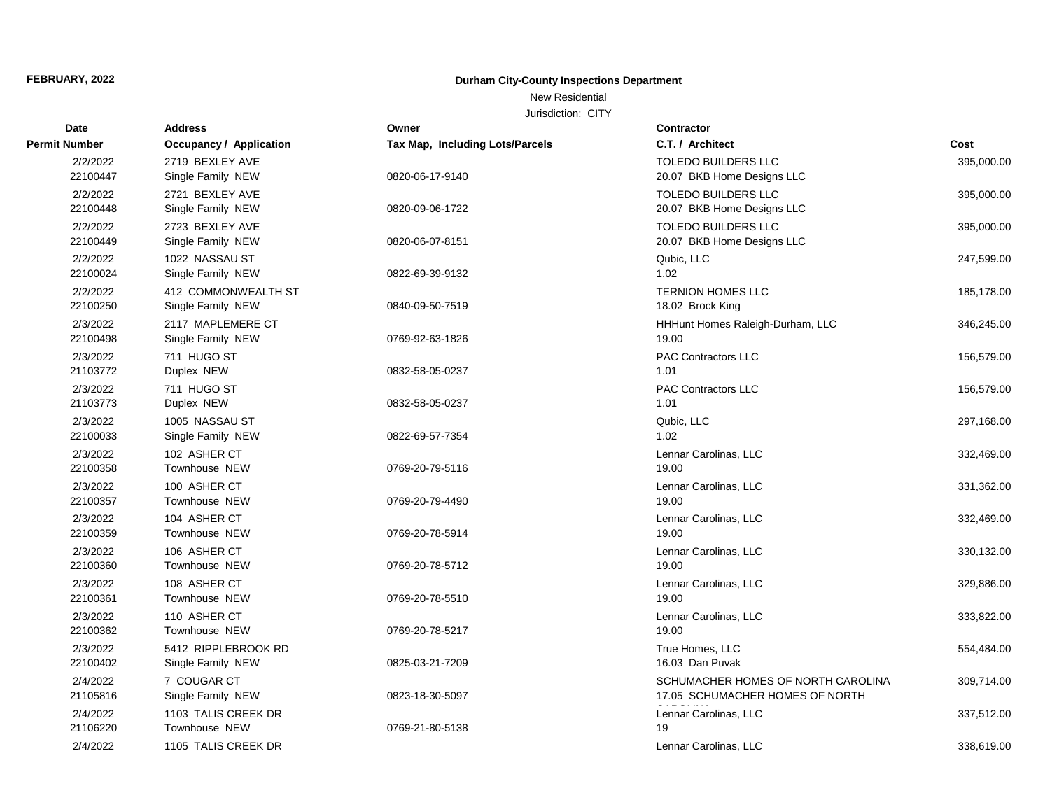### New Residential

| <b>Date</b>          | <b>Address</b>                                  | Owner                           | <b>Contractor</b>                                                     |            |
|----------------------|-------------------------------------------------|---------------------------------|-----------------------------------------------------------------------|------------|
| <b>Permit Number</b> | Occupancy / Application                         | Tax Map, Including Lots/Parcels | C.T. / Architect                                                      | Cost       |
| 2/2/2022<br>22100447 | 2719 BEXLEY AVE<br>Single Family NEW            | 0820-06-17-9140                 | <b>TOLEDO BUILDERS LLC</b><br>20.07 BKB Home Designs LLC              | 395,000.00 |
| 2/2/2022<br>22100448 | 2721 BEXLEY AVE<br>Single Family NEW            | 0820-09-06-1722                 | <b>TOLEDO BUILDERS LLC</b><br>20.07 BKB Home Designs LLC              | 395,000.00 |
| 2/2/2022<br>22100449 | 2723 BEXLEY AVE<br>Single Family NEW            | 0820-06-07-8151                 | TOLEDO BUILDERS LLC<br>20.07 BKB Home Designs LLC                     | 395,000.00 |
| 2/2/2022<br>22100024 | 1022 NASSAU ST<br>Single Family NEW             | 0822-69-39-9132                 | Qubic, LLC<br>1.02                                                    | 247,599.00 |
| 2/2/2022<br>22100250 | <b>412 COMMONWEALTH ST</b><br>Single Family NEW | 0840-09-50-7519                 | <b>TERNION HOMES LLC</b><br>18.02 Brock King                          | 185,178.00 |
| 2/3/2022<br>22100498 | 2117 MAPLEMERE CT<br>Single Family NEW          | 0769-92-63-1826                 | HHHunt Homes Raleigh-Durham, LLC<br>19.00                             | 346,245.00 |
| 2/3/2022<br>21103772 | 711 HUGO ST<br>Duplex NEW                       | 0832-58-05-0237                 | <b>PAC Contractors LLC</b><br>1.01                                    | 156,579.00 |
| 2/3/2022<br>21103773 | 711 HUGO ST<br>Duplex NEW                       | 0832-58-05-0237                 | PAC Contractors LLC<br>1.01                                           | 156,579.00 |
| 2/3/2022<br>22100033 | 1005 NASSAU ST<br>Single Family NEW             | 0822-69-57-7354                 | Qubic, LLC<br>1.02                                                    | 297,168.00 |
| 2/3/2022<br>22100358 | 102 ASHER CT<br><b>Townhouse NEW</b>            | 0769-20-79-5116                 | Lennar Carolinas, LLC<br>19.00                                        | 332,469.00 |
| 2/3/2022<br>22100357 | 100 ASHER CT<br><b>Townhouse NEW</b>            | 0769-20-79-4490                 | Lennar Carolinas, LLC<br>19.00                                        | 331,362.00 |
| 2/3/2022<br>22100359 | 104 ASHER CT<br><b>Townhouse NEW</b>            | 0769-20-78-5914                 | Lennar Carolinas, LLC<br>19.00                                        | 332,469.00 |
| 2/3/2022<br>22100360 | 106 ASHER CT<br><b>Townhouse NEW</b>            | 0769-20-78-5712                 | Lennar Carolinas, LLC<br>19.00                                        | 330,132.00 |
| 2/3/2022<br>22100361 | 108 ASHER CT<br>Townhouse NEW                   | 0769-20-78-5510                 | Lennar Carolinas, LLC<br>19.00                                        | 329,886.00 |
| 2/3/2022<br>22100362 | 110 ASHER CT<br>Townhouse NEW                   | 0769-20-78-5217                 | Lennar Carolinas, LLC<br>19.00                                        | 333,822.00 |
| 2/3/2022<br>22100402 | 5412 RIPPLEBROOK RD<br>Single Family NEW        | 0825-03-21-7209                 | True Homes, LLC<br>16.03 Dan Puvak                                    | 554,484.00 |
| 2/4/2022<br>21105816 | 7 COUGAR CT<br>Single Family NEW                | 0823-18-30-5097                 | SCHUMACHER HOMES OF NORTH CAROLINA<br>17.05 SCHUMACHER HOMES OF NORTH | 309,714.00 |
| 2/4/2022<br>21106220 | 1103 TALIS CREEK DR<br><b>Townhouse NEW</b>     | 0769-21-80-5138                 | Lennar Carolinas, LLC<br>19                                           | 337,512.00 |
| 2/4/2022             | 1105 TALIS CREEK DR                             |                                 | Lennar Carolinas, LLC                                                 | 338,619.00 |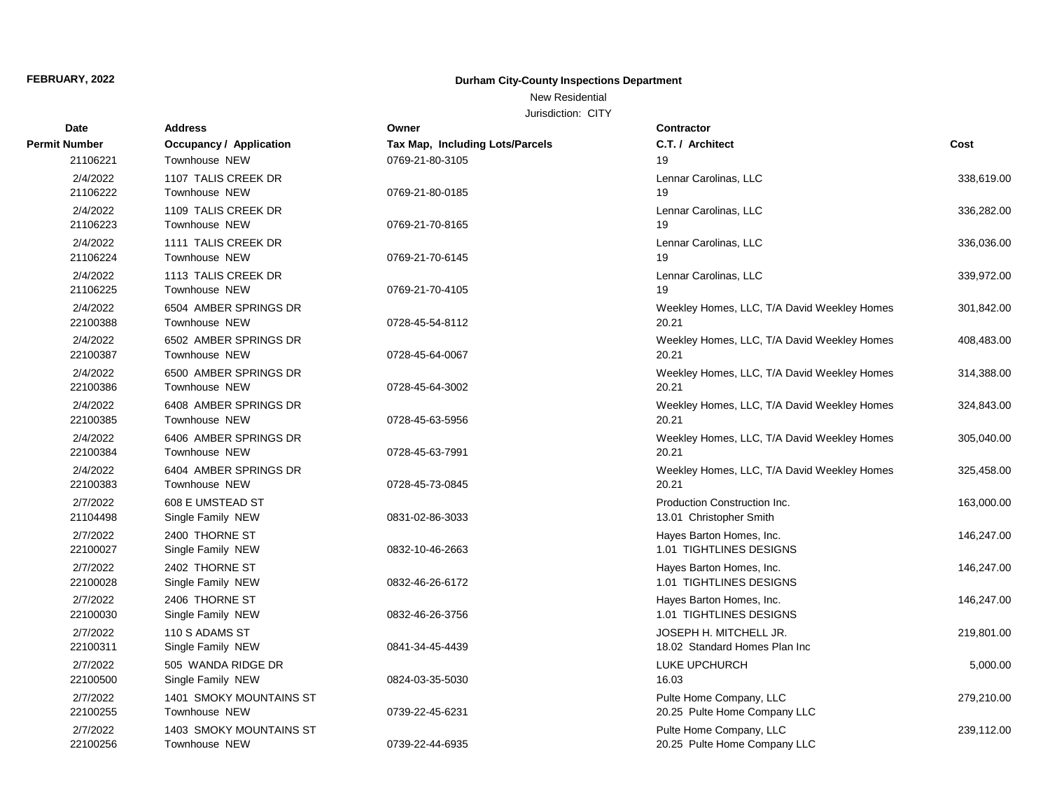### New Residential

| Date                 | <b>Address</b>                           | Owner                           | <b>Contractor</b>                                       |            |
|----------------------|------------------------------------------|---------------------------------|---------------------------------------------------------|------------|
| Permit Number        | <b>Occupancy / Application</b>           | Tax Map, Including Lots/Parcels | C.T. / Architect                                        | Cost       |
| 21106221             | Townhouse NEW                            | 0769-21-80-3105                 | 19                                                      |            |
| 2/4/2022<br>21106222 | 1107 TALIS CREEK DR<br>Townhouse NEW     | 0769-21-80-0185                 | Lennar Carolinas, LLC<br>19                             | 338,619.00 |
| 2/4/2022<br>21106223 | 1109 TALIS CREEK DR<br>Townhouse NEW     | 0769-21-70-8165                 | Lennar Carolinas, LLC<br>19                             | 336,282.00 |
| 2/4/2022<br>21106224 | 1111 TALIS CREEK DR<br>Townhouse NEW     | 0769-21-70-6145                 | Lennar Carolinas, LLC<br>19                             | 336,036.00 |
| 2/4/2022<br>21106225 | 1113 TALIS CREEK DR<br>Townhouse NEW     | 0769-21-70-4105                 | Lennar Carolinas, LLC<br>19                             | 339,972.00 |
| 2/4/2022<br>22100388 | 6504 AMBER SPRINGS DR<br>Townhouse NEW   | 0728-45-54-8112                 | Weekley Homes, LLC, T/A David Weekley Homes<br>20.21    | 301,842.00 |
| 2/4/2022<br>22100387 | 6502 AMBER SPRINGS DR<br>Townhouse NEW   | 0728-45-64-0067                 | Weekley Homes, LLC, T/A David Weekley Homes<br>20.21    | 408,483.00 |
| 2/4/2022<br>22100386 | 6500 AMBER SPRINGS DR<br>Townhouse NEW   | 0728-45-64-3002                 | Weekley Homes, LLC, T/A David Weekley Homes<br>20.21    | 314,388.00 |
| 2/4/2022<br>22100385 | 6408 AMBER SPRINGS DR<br>Townhouse NEW   | 0728-45-63-5956                 | Weekley Homes, LLC, T/A David Weekley Homes<br>20.21    | 324,843.00 |
| 2/4/2022<br>22100384 | 6406 AMBER SPRINGS DR<br>Townhouse NEW   | 0728-45-63-7991                 | Weekley Homes, LLC, T/A David Weekley Homes<br>20.21    | 305,040.00 |
| 2/4/2022<br>22100383 | 6404 AMBER SPRINGS DR<br>Townhouse NEW   | 0728-45-73-0845                 | Weekley Homes, LLC, T/A David Weekley Homes<br>20.21    | 325,458.00 |
| 2/7/2022<br>21104498 | 608 E UMSTEAD ST<br>Single Family NEW    | 0831-02-86-3033                 | Production Construction Inc.<br>13.01 Christopher Smith | 163,000.00 |
| 2/7/2022<br>22100027 | 2400 THORNE ST<br>Single Family NEW      | 0832-10-46-2663                 | Hayes Barton Homes, Inc.<br>1.01 TIGHTLINES DESIGNS     | 146,247.00 |
| 2/7/2022<br>22100028 | 2402 THORNE ST<br>Single Family NEW      | 0832-46-26-6172                 | Hayes Barton Homes, Inc.<br>1.01 TIGHTLINES DESIGNS     | 146,247.00 |
| 2/7/2022<br>22100030 | 2406 THORNE ST<br>Single Family NEW      | 0832-46-26-3756                 | Hayes Barton Homes, Inc.<br>1.01 TIGHTLINES DESIGNS     | 146,247.00 |
| 2/7/2022<br>22100311 | 110 S ADAMS ST<br>Single Family NEW      | 0841-34-45-4439                 | JOSEPH H. MITCHELL JR.<br>18.02 Standard Homes Plan Inc | 219,801.00 |
| 2/7/2022<br>22100500 | 505 WANDA RIDGE DR<br>Single Family NEW  | 0824-03-35-5030                 | LUKE UPCHURCH<br>16.03                                  | 5,000.00   |
| 2/7/2022<br>22100255 | 1401 SMOKY MOUNTAINS ST<br>Townhouse NEW | 0739-22-45-6231                 | Pulte Home Company, LLC<br>20.25 Pulte Home Company LLC | 279,210.00 |
| 2/7/2022<br>22100256 | 1403 SMOKY MOUNTAINS ST<br>Townhouse NEW | 0739-22-44-6935                 | Pulte Home Company, LLC<br>20.25 Pulte Home Company LLC | 239,112.00 |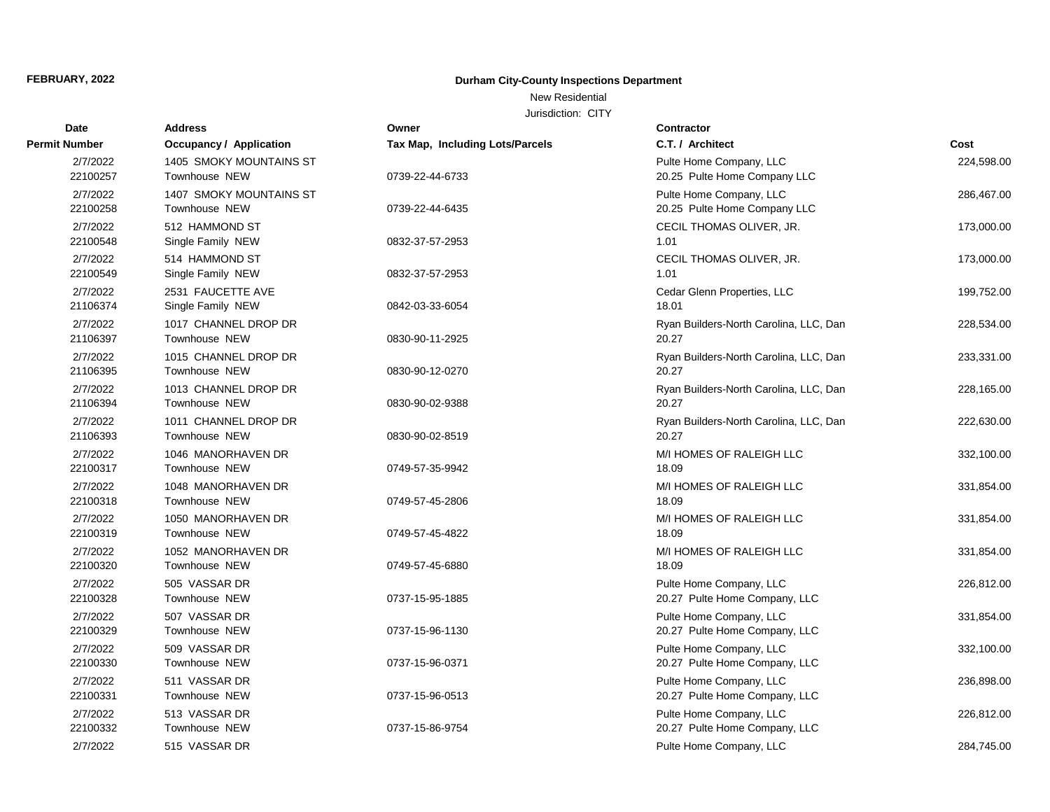### New Residential

| <b>Date</b>          | <b>Address</b>                                  | Owner                           | <b>Contractor</b>                                        |            |
|----------------------|-------------------------------------------------|---------------------------------|----------------------------------------------------------|------------|
| <b>Permit Number</b> | <b>Occupancy / Application</b>                  | Tax Map, Including Lots/Parcels | C.T. / Architect                                         | Cost       |
| 2/7/2022<br>22100257 | 1405 SMOKY MOUNTAINS ST<br><b>Townhouse NEW</b> | 0739-22-44-6733                 | Pulte Home Company, LLC<br>20.25 Pulte Home Company LLC  | 224,598.00 |
| 2/7/2022<br>22100258 | 1407 SMOKY MOUNTAINS ST<br><b>Townhouse NEW</b> | 0739-22-44-6435                 | Pulte Home Company, LLC<br>20.25 Pulte Home Company LLC  | 286,467.00 |
| 2/7/2022<br>22100548 | 512 HAMMOND ST<br>Single Family NEW             | 0832-37-57-2953                 | CECIL THOMAS OLIVER, JR.<br>1.01                         | 173,000.00 |
| 2/7/2022<br>22100549 | 514 HAMMOND ST<br>Single Family NEW             | 0832-37-57-2953                 | CECIL THOMAS OLIVER, JR.<br>1.01                         | 173,000.00 |
| 2/7/2022<br>21106374 | 2531 FAUCETTE AVE<br>Single Family NEW          | 0842-03-33-6054                 | Cedar Glenn Properties, LLC<br>18.01                     | 199,752.00 |
| 2/7/2022<br>21106397 | 1017 CHANNEL DROP DR<br><b>Townhouse NEW</b>    | 0830-90-11-2925                 | Ryan Builders-North Carolina, LLC, Dan<br>20.27          | 228,534.00 |
| 2/7/2022<br>21106395 | 1015 CHANNEL DROP DR<br><b>Townhouse NEW</b>    | 0830-90-12-0270                 | Ryan Builders-North Carolina, LLC, Dan<br>20.27          | 233,331.00 |
| 2/7/2022<br>21106394 | 1013 CHANNEL DROP DR<br>Townhouse NEW           | 0830-90-02-9388                 | Ryan Builders-North Carolina, LLC, Dan<br>20.27          | 228,165.00 |
| 2/7/2022<br>21106393 | 1011 CHANNEL DROP DR<br><b>Townhouse NEW</b>    | 0830-90-02-8519                 | Ryan Builders-North Carolina, LLC, Dan<br>20.27          | 222,630.00 |
| 2/7/2022<br>22100317 | 1046 MANORHAVEN DR<br><b>Townhouse NEW</b>      | 0749-57-35-9942                 | M/I HOMES OF RALEIGH LLC<br>18.09                        | 332,100.00 |
| 2/7/2022<br>22100318 | 1048 MANORHAVEN DR<br>Townhouse NEW             | 0749-57-45-2806                 | M/I HOMES OF RALEIGH LLC<br>18.09                        | 331,854.00 |
| 2/7/2022<br>22100319 | 1050 MANORHAVEN DR<br><b>Townhouse NEW</b>      | 0749-57-45-4822                 | M/I HOMES OF RALEIGH LLC<br>18.09                        | 331,854.00 |
| 2/7/2022<br>22100320 | 1052 MANORHAVEN DR<br><b>Townhouse NEW</b>      | 0749-57-45-6880                 | M/I HOMES OF RALEIGH LLC<br>18.09                        | 331,854.00 |
| 2/7/2022<br>22100328 | 505 VASSAR DR<br>Townhouse NEW                  | 0737-15-95-1885                 | Pulte Home Company, LLC<br>20.27 Pulte Home Company, LLC | 226,812.00 |
| 2/7/2022<br>22100329 | 507 VASSAR DR<br><b>Townhouse NEW</b>           | 0737-15-96-1130                 | Pulte Home Company, LLC<br>20.27 Pulte Home Company, LLC | 331,854.00 |
| 2/7/2022<br>22100330 | 509 VASSAR DR<br>Townhouse NEW                  | 0737-15-96-0371                 | Pulte Home Company, LLC<br>20.27 Pulte Home Company, LLC | 332,100.00 |
| 2/7/2022<br>22100331 | 511 VASSAR DR<br>Townhouse NEW                  | 0737-15-96-0513                 | Pulte Home Company, LLC<br>20.27 Pulte Home Company, LLC | 236,898.00 |
| 2/7/2022<br>22100332 | 513 VASSAR DR<br><b>Townhouse NEW</b>           | 0737-15-86-9754                 | Pulte Home Company, LLC<br>20.27 Pulte Home Company, LLC | 226,812.00 |
| 2/7/2022             | 515 VASSAR DR                                   |                                 | Pulte Home Company, LLC                                  | 284,745.00 |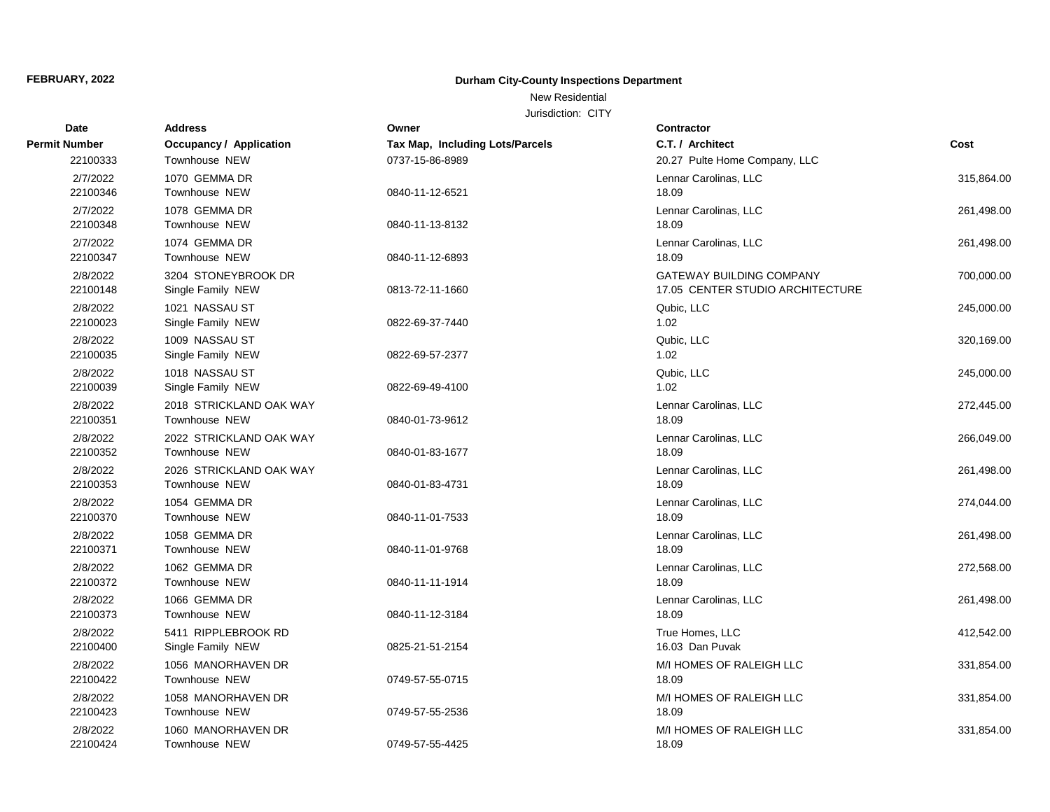### New Residential

| Date                 | <b>Address</b>                             | Owner                           | Contractor                                                          |            |
|----------------------|--------------------------------------------|---------------------------------|---------------------------------------------------------------------|------------|
| Permit Number        | <b>Occupancy / Application</b>             | Tax Map, Including Lots/Parcels | C.T. / Architect                                                    | Cost       |
| 22100333             | Townhouse NEW                              | 0737-15-86-8989                 | 20.27 Pulte Home Company, LLC                                       |            |
| 2/7/2022<br>22100346 | 1070 GEMMA DR<br>Townhouse NEW             | 0840-11-12-6521                 | Lennar Carolinas, LLC<br>18.09                                      | 315,864.00 |
| 2/7/2022<br>22100348 | 1078 GEMMA DR<br>Townhouse NEW             | 0840-11-13-8132                 | Lennar Carolinas, LLC<br>18.09                                      | 261,498.00 |
| 2/7/2022<br>22100347 | 1074 GEMMA DR<br>Townhouse NEW             | 0840-11-12-6893                 | Lennar Carolinas, LLC<br>18.09                                      | 261,498.00 |
| 2/8/2022<br>22100148 | 3204 STONEYBROOK DR<br>Single Family NEW   | 0813-72-11-1660                 | <b>GATEWAY BUILDING COMPANY</b><br>17.05 CENTER STUDIO ARCHITECTURE | 700,000.00 |
| 2/8/2022<br>22100023 | 1021 NASSAU ST<br>Single Family NEW        | 0822-69-37-7440                 | Qubic, LLC<br>1.02                                                  | 245,000.00 |
| 2/8/2022<br>22100035 | 1009 NASSAU ST<br>Single Family NEW        | 0822-69-57-2377                 | Qubic, LLC<br>1.02                                                  | 320,169.00 |
| 2/8/2022<br>22100039 | 1018 NASSAU ST<br>Single Family NEW        | 0822-69-49-4100                 | Qubic, LLC<br>1.02                                                  | 245,000.00 |
| 2/8/2022<br>22100351 | 2018 STRICKLAND OAK WAY<br>Townhouse NEW   | 0840-01-73-9612                 | Lennar Carolinas, LLC<br>18.09                                      | 272,445.00 |
| 2/8/2022<br>22100352 | 2022 STRICKLAND OAK WAY<br>Townhouse NEW   | 0840-01-83-1677                 | Lennar Carolinas, LLC<br>18.09                                      | 266,049.00 |
| 2/8/2022<br>22100353 | 2026 STRICKLAND OAK WAY<br>Townhouse NEW   | 0840-01-83-4731                 | Lennar Carolinas, LLC<br>18.09                                      | 261,498.00 |
| 2/8/2022<br>22100370 | 1054 GEMMA DR<br>Townhouse NEW             | 0840-11-01-7533                 | Lennar Carolinas, LLC<br>18.09                                      | 274,044.00 |
| 2/8/2022<br>22100371 | 1058 GEMMA DR<br>Townhouse NEW             | 0840-11-01-9768                 | Lennar Carolinas, LLC<br>18.09                                      | 261,498.00 |
| 2/8/2022<br>22100372 | 1062 GEMMA DR<br>Townhouse NEW             | 0840-11-11-1914                 | Lennar Carolinas, LLC<br>18.09                                      | 272,568.00 |
| 2/8/2022<br>22100373 | 1066 GEMMA DR<br><b>Townhouse NEW</b>      | 0840-11-12-3184                 | Lennar Carolinas, LLC<br>18.09                                      | 261,498.00 |
| 2/8/2022<br>22100400 | 5411 RIPPLEBROOK RD<br>Single Family NEW   | 0825-21-51-2154                 | True Homes, LLC<br>16.03 Dan Puvak                                  | 412,542.00 |
| 2/8/2022<br>22100422 | 1056 MANORHAVEN DR<br>Townhouse NEW        | 0749-57-55-0715                 | M/I HOMES OF RALEIGH LLC<br>18.09                                   | 331,854.00 |
| 2/8/2022<br>22100423 | 1058 MANORHAVEN DR<br><b>Townhouse NEW</b> | 0749-57-55-2536                 | M/I HOMES OF RALEIGH LLC<br>18.09                                   | 331,854.00 |
| 2/8/2022<br>22100424 | 1060 MANORHAVEN DR<br>Townhouse NEW        | 0749-57-55-4425                 | M/I HOMES OF RALEIGH LLC<br>18.09                                   | 331,854.00 |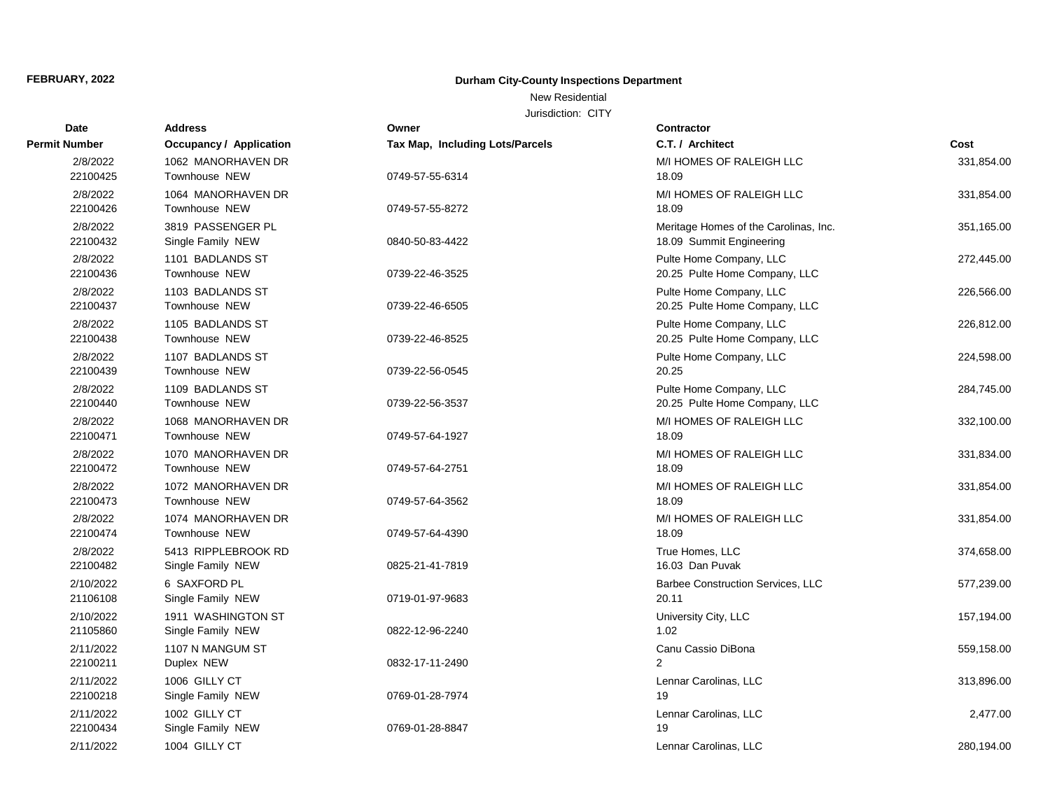### New Residential

| <b>Date</b>           | <b>Address</b>                             | Owner                           | <b>Contractor</b>                                                 |            |
|-----------------------|--------------------------------------------|---------------------------------|-------------------------------------------------------------------|------------|
| Permit Number         | Occupancy / Application                    | Tax Map, Including Lots/Parcels | C.T. / Architect                                                  | Cost       |
| 2/8/2022<br>22100425  | 1062 MANORHAVEN DR<br><b>Townhouse NEW</b> | 0749-57-55-6314                 | M/I HOMES OF RALEIGH LLC<br>18.09                                 | 331,854.00 |
| 2/8/2022<br>22100426  | 1064 MANORHAVEN DR<br><b>Townhouse NEW</b> | 0749-57-55-8272                 | M/I HOMES OF RALEIGH LLC<br>18.09                                 | 331,854.00 |
| 2/8/2022<br>22100432  | 3819 PASSENGER PL<br>Single Family NEW     | 0840-50-83-4422                 | Meritage Homes of the Carolinas, Inc.<br>18.09 Summit Engineering | 351,165.00 |
| 2/8/2022<br>22100436  | 1101 BADLANDS ST<br><b>Townhouse NEW</b>   | 0739-22-46-3525                 | Pulte Home Company, LLC<br>20.25 Pulte Home Company, LLC          | 272,445.00 |
| 2/8/2022<br>22100437  | 1103 BADLANDS ST<br>Townhouse NEW          | 0739-22-46-6505                 | Pulte Home Company, LLC<br>20.25 Pulte Home Company, LLC          | 226,566.00 |
| 2/8/2022<br>22100438  | 1105 BADLANDS ST<br>Townhouse NEW          | 0739-22-46-8525                 | Pulte Home Company, LLC<br>20.25 Pulte Home Company, LLC          | 226,812.00 |
| 2/8/2022<br>22100439  | 1107 BADLANDS ST<br><b>Townhouse NEW</b>   | 0739-22-56-0545                 | Pulte Home Company, LLC<br>20.25                                  | 224,598.00 |
| 2/8/2022<br>22100440  | 1109 BADLANDS ST<br><b>Townhouse NEW</b>   | 0739-22-56-3537                 | Pulte Home Company, LLC<br>20.25 Pulte Home Company, LLC          | 284,745.00 |
| 2/8/2022<br>22100471  | 1068 MANORHAVEN DR<br><b>Townhouse NEW</b> | 0749-57-64-1927                 | M/I HOMES OF RALEIGH LLC<br>18.09                                 | 332,100.00 |
| 2/8/2022<br>22100472  | 1070 MANORHAVEN DR<br><b>Townhouse NEW</b> | 0749-57-64-2751                 | M/I HOMES OF RALEIGH LLC<br>18.09                                 | 331,834.00 |
| 2/8/2022<br>22100473  | 1072 MANORHAVEN DR<br>Townhouse NEW        | 0749-57-64-3562                 | M/I HOMES OF RALEIGH LLC<br>18.09                                 | 331,854.00 |
| 2/8/2022<br>22100474  | 1074 MANORHAVEN DR<br>Townhouse NEW        | 0749-57-64-4390                 | M/I HOMES OF RALEIGH LLC<br>18.09                                 | 331,854.00 |
| 2/8/2022<br>22100482  | 5413 RIPPLEBROOK RD<br>Single Family NEW   | 0825-21-41-7819                 | True Homes, LLC<br>16.03 Dan Puvak                                | 374,658.00 |
| 2/10/2022<br>21106108 | 6 SAXFORD PL<br>Single Family NEW          | 0719-01-97-9683                 | Barbee Construction Services, LLC<br>20.11                        | 577,239.00 |
| 2/10/2022<br>21105860 | 1911 WASHINGTON ST<br>Single Family NEW    | 0822-12-96-2240                 | University City, LLC<br>1.02                                      | 157,194.00 |
| 2/11/2022<br>22100211 | 1107 N MANGUM ST<br>Duplex NEW             | 0832-17-11-2490                 | Canu Cassio DiBona<br>2                                           | 559,158.00 |
| 2/11/2022<br>22100218 | 1006 GILLY CT<br>Single Family NEW         | 0769-01-28-7974                 | Lennar Carolinas, LLC<br>19                                       | 313,896.00 |
| 2/11/2022<br>22100434 | 1002 GILLY CT<br>Single Family NEW         | 0769-01-28-8847                 | Lennar Carolinas, LLC<br>19                                       | 2,477.00   |
| 2/11/2022             | 1004 GILLY CT                              |                                 | Lennar Carolinas, LLC                                             | 280,194.00 |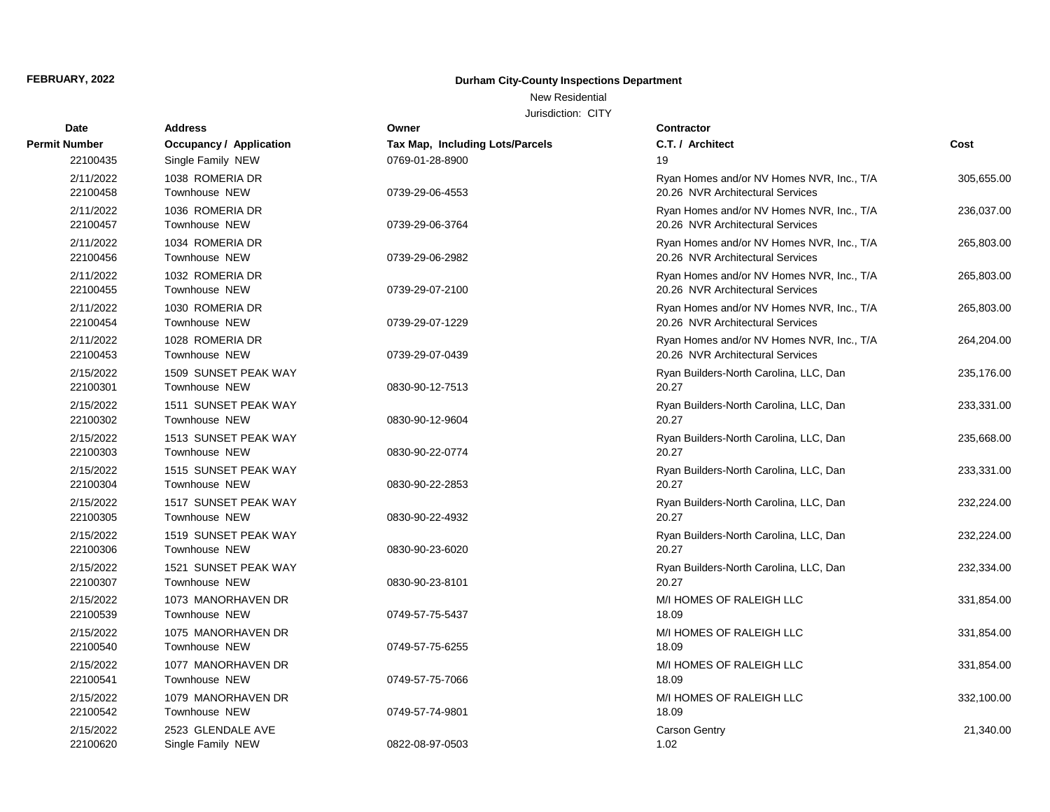### New Residential

| <b>Date</b>           | <b>Address</b>                               | Owner                           | Contractor                                                                    |            |
|-----------------------|----------------------------------------------|---------------------------------|-------------------------------------------------------------------------------|------------|
| Permit Number         | <b>Occupancy / Application</b>               | Tax Map, Including Lots/Parcels | C.T. / Architect                                                              | Cost       |
| 22100435              | Single Family NEW                            | 0769-01-28-8900                 | 19                                                                            |            |
| 2/11/2022<br>22100458 | 1038 ROMERIA DR<br>Townhouse NEW             | 0739-29-06-4553                 | Ryan Homes and/or NV Homes NVR, Inc., T/A<br>20.26 NVR Architectural Services | 305,655.00 |
| 2/11/2022<br>22100457 | 1036 ROMERIA DR<br>Townhouse NEW             | 0739-29-06-3764                 | Ryan Homes and/or NV Homes NVR, Inc., T/A<br>20.26 NVR Architectural Services | 236,037.00 |
| 2/11/2022<br>22100456 | 1034 ROMERIA DR<br>Townhouse NEW             | 0739-29-06-2982                 | Ryan Homes and/or NV Homes NVR, Inc., T/A<br>20.26 NVR Architectural Services | 265,803.00 |
| 2/11/2022<br>22100455 | 1032 ROMERIA DR<br><b>Townhouse NEW</b>      | 0739-29-07-2100                 | Ryan Homes and/or NV Homes NVR, Inc., T/A<br>20.26 NVR Architectural Services | 265,803.00 |
| 2/11/2022<br>22100454 | 1030 ROMERIA DR<br>Townhouse NEW             | 0739-29-07-1229                 | Ryan Homes and/or NV Homes NVR, Inc., T/A<br>20.26 NVR Architectural Services | 265,803.00 |
| 2/11/2022<br>22100453 | 1028 ROMERIA DR<br>Townhouse NEW             | 0739-29-07-0439                 | Ryan Homes and/or NV Homes NVR, Inc., T/A<br>20.26 NVR Architectural Services | 264,204.00 |
| 2/15/2022<br>22100301 | 1509 SUNSET PEAK WAY<br>Townhouse NEW        | 0830-90-12-7513                 | Ryan Builders-North Carolina, LLC, Dan<br>20.27                               | 235,176.00 |
| 2/15/2022<br>22100302 | 1511 SUNSET PEAK WAY<br><b>Townhouse NEW</b> | 0830-90-12-9604                 | Ryan Builders-North Carolina, LLC, Dan<br>20.27                               | 233,331.00 |
| 2/15/2022<br>22100303 | 1513 SUNSET PEAK WAY<br><b>Townhouse NEW</b> | 0830-90-22-0774                 | Ryan Builders-North Carolina, LLC, Dan<br>20.27                               | 235,668.00 |
| 2/15/2022<br>22100304 | 1515 SUNSET PEAK WAY<br>Townhouse NEW        | 0830-90-22-2853                 | Ryan Builders-North Carolina, LLC, Dan<br>20.27                               | 233,331.00 |
| 2/15/2022<br>22100305 | 1517 SUNSET PEAK WAY<br><b>Townhouse NEW</b> | 0830-90-22-4932                 | Ryan Builders-North Carolina, LLC, Dan<br>20.27                               | 232,224.00 |
| 2/15/2022<br>22100306 | 1519 SUNSET PEAK WAY<br>Townhouse NEW        | 0830-90-23-6020                 | Ryan Builders-North Carolina, LLC, Dan<br>20.27                               | 232,224.00 |
| 2/15/2022<br>22100307 | 1521 SUNSET PEAK WAY<br>Townhouse NEW        | 0830-90-23-8101                 | Ryan Builders-North Carolina, LLC, Dan<br>20.27                               | 232,334.00 |
| 2/15/2022<br>22100539 | 1073 MANORHAVEN DR<br>Townhouse NEW          | 0749-57-75-5437                 | M/I HOMES OF RALEIGH LLC<br>18.09                                             | 331,854.00 |
| 2/15/2022<br>22100540 | 1075 MANORHAVEN DR<br><b>Townhouse NEW</b>   | 0749-57-75-6255                 | M/I HOMES OF RALEIGH LLC<br>18.09                                             | 331,854.00 |
| 2/15/2022<br>22100541 | 1077 MANORHAVEN DR<br>Townhouse NEW          | 0749-57-75-7066                 | M/I HOMES OF RALEIGH LLC<br>18.09                                             | 331,854.00 |
| 2/15/2022<br>22100542 | 1079 MANORHAVEN DR<br>Townhouse NEW          | 0749-57-74-9801                 | M/I HOMES OF RALEIGH LLC<br>18.09                                             | 332,100.00 |
| 2/15/2022<br>22100620 | 2523 GLENDALE AVE<br>Single Family NEW       | 0822-08-97-0503                 | <b>Carson Gentry</b><br>1.02                                                  | 21,340.00  |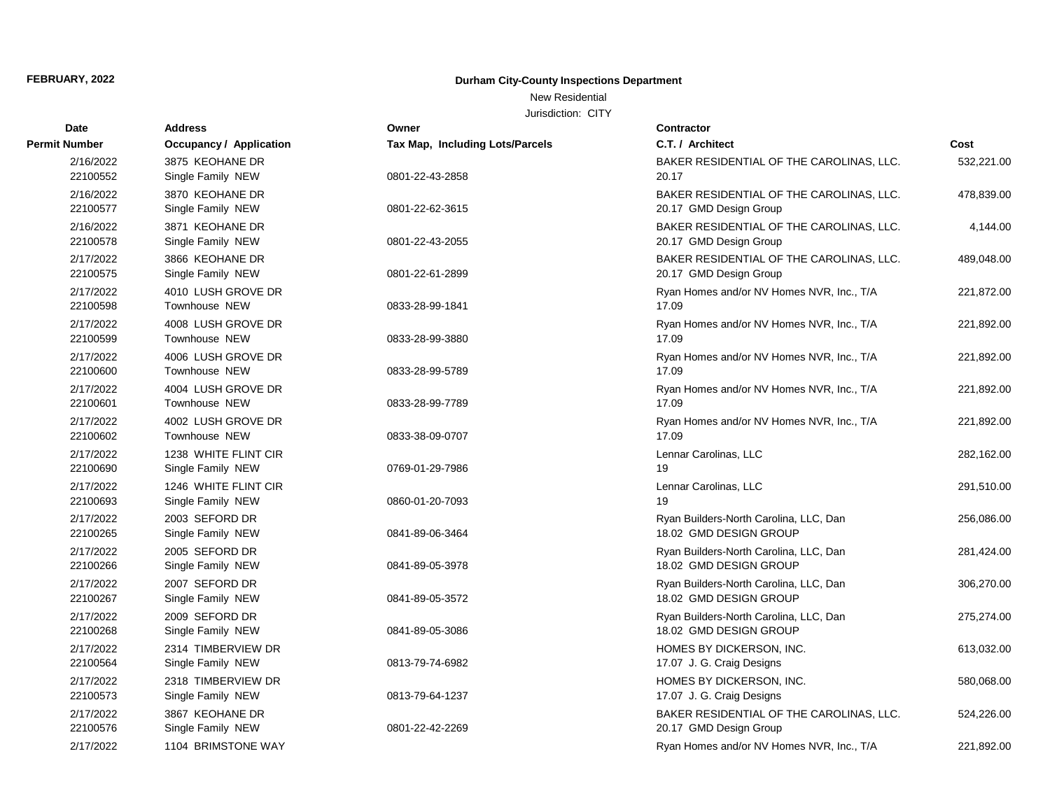### New Residential

| <b>Date</b>           | <b>Address</b>                            | Owner                                  | Contractor                                                         |            |
|-----------------------|-------------------------------------------|----------------------------------------|--------------------------------------------------------------------|------------|
| Permit Number         | Occupancy / Application                   | <b>Tax Map, Including Lots/Parcels</b> | C.T. / Architect                                                   | Cost       |
| 2/16/2022<br>22100552 | 3875 KEOHANE DR<br>Single Family NEW      | 0801-22-43-2858                        | BAKER RESIDENTIAL OF THE CAROLINAS, LLC.<br>20.17                  | 532,221.00 |
| 2/16/2022<br>22100577 | 3870 KEOHANE DR<br>Single Family NEW      | 0801-22-62-3615                        | BAKER RESIDENTIAL OF THE CAROLINAS, LLC.<br>20.17 GMD Design Group | 478,839.00 |
| 2/16/2022<br>22100578 | 3871 KEOHANE DR<br>Single Family NEW      | 0801-22-43-2055                        | BAKER RESIDENTIAL OF THE CAROLINAS, LLC.<br>20.17 GMD Design Group | 4,144.00   |
| 2/17/2022<br>22100575 | 3866 KEOHANE DR<br>Single Family NEW      | 0801-22-61-2899                        | BAKER RESIDENTIAL OF THE CAROLINAS, LLC.<br>20.17 GMD Design Group | 489,048.00 |
| 2/17/2022<br>22100598 | 4010 LUSH GROVE DR<br>Townhouse NEW       | 0833-28-99-1841                        | Ryan Homes and/or NV Homes NVR, Inc., T/A<br>17.09                 | 221,872.00 |
| 2/17/2022<br>22100599 | 4008 LUSH GROVE DR<br>Townhouse NEW       | 0833-28-99-3880                        | Ryan Homes and/or NV Homes NVR, Inc., T/A<br>17.09                 | 221,892.00 |
| 2/17/2022<br>22100600 | 4006 LUSH GROVE DR<br>Townhouse NEW       | 0833-28-99-5789                        | Ryan Homes and/or NV Homes NVR, Inc., T/A<br>17.09                 | 221,892.00 |
| 2/17/2022<br>22100601 | 4004 LUSH GROVE DR<br>Townhouse NEW       | 0833-28-99-7789                        | Ryan Homes and/or NV Homes NVR, Inc., T/A<br>17.09                 | 221,892.00 |
| 2/17/2022<br>22100602 | 4002 LUSH GROVE DR<br>Townhouse NEW       | 0833-38-09-0707                        | Ryan Homes and/or NV Homes NVR, Inc., T/A<br>17.09                 | 221,892.00 |
| 2/17/2022<br>22100690 | 1238 WHITE FLINT CIR<br>Single Family NEW | 0769-01-29-7986                        | Lennar Carolinas, LLC<br>19                                        | 282,162.00 |
| 2/17/2022<br>22100693 | 1246 WHITE FLINT CIR<br>Single Family NEW | 0860-01-20-7093                        | Lennar Carolinas, LLC<br>19                                        | 291,510.00 |
| 2/17/2022<br>22100265 | 2003 SEFORD DR<br>Single Family NEW       | 0841-89-06-3464                        | Ryan Builders-North Carolina, LLC, Dan<br>18.02 GMD DESIGN GROUP   | 256,086.00 |
| 2/17/2022<br>22100266 | 2005 SEFORD DR<br>Single Family NEW       | 0841-89-05-3978                        | Ryan Builders-North Carolina, LLC, Dan<br>18.02 GMD DESIGN GROUP   | 281,424.00 |
| 2/17/2022<br>22100267 | 2007 SEFORD DR<br>Single Family NEW       | 0841-89-05-3572                        | Ryan Builders-North Carolina, LLC, Dan<br>18.02 GMD DESIGN GROUP   | 306,270.00 |
| 2/17/2022<br>22100268 | 2009 SEFORD DR<br>Single Family NEW       | 0841-89-05-3086                        | Ryan Builders-North Carolina, LLC, Dan<br>18.02 GMD DESIGN GROUP   | 275,274.00 |
| 2/17/2022<br>22100564 | 2314 TIMBERVIEW DR<br>Single Family NEW   | 0813-79-74-6982                        | HOMES BY DICKERSON, INC.<br>17.07 J. G. Craig Designs              | 613,032.00 |
| 2/17/2022<br>22100573 | 2318 TIMBERVIEW DR<br>Single Family NEW   | 0813-79-64-1237                        | HOMES BY DICKERSON, INC.<br>17.07 J. G. Craig Designs              | 580,068.00 |
| 2/17/2022<br>22100576 | 3867 KEOHANE DR<br>Single Family NEW      | 0801-22-42-2269                        | BAKER RESIDENTIAL OF THE CAROLINAS, LLC.<br>20.17 GMD Design Group | 524,226.00 |
| 2/17/2022             | 1104 BRIMSTONE WAY                        |                                        | Ryan Homes and/or NV Homes NVR, Inc., T/A                          | 221,892.00 |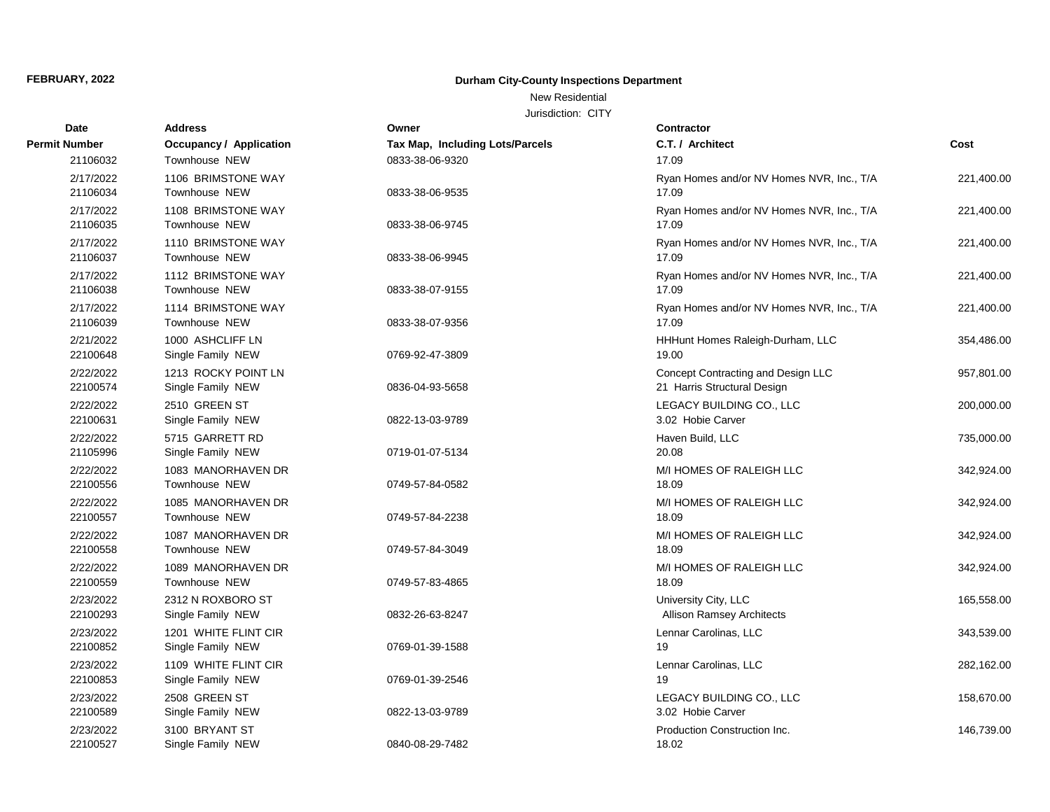### New Residential

| <b>Date</b>           | <b>Address</b>                             | Owner                           | <b>Contractor</b>                                                 |            |
|-----------------------|--------------------------------------------|---------------------------------|-------------------------------------------------------------------|------------|
| Permit Number         | <b>Occupancy / Application</b>             | Tax Map, Including Lots/Parcels | C.T. / Architect                                                  | Cost       |
| 21106032              | <b>Townhouse NEW</b>                       | 0833-38-06-9320                 | 17.09                                                             |            |
| 2/17/2022<br>21106034 | 1106 BRIMSTONE WAY<br>Townhouse NEW        | 0833-38-06-9535                 | Ryan Homes and/or NV Homes NVR, Inc., T/A<br>17.09                | 221,400.00 |
| 2/17/2022<br>21106035 | 1108 BRIMSTONE WAY<br><b>Townhouse NEW</b> | 0833-38-06-9745                 | Ryan Homes and/or NV Homes NVR, Inc., T/A<br>17.09                | 221,400.00 |
| 2/17/2022<br>21106037 | 1110 BRIMSTONE WAY<br>Townhouse NEW        | 0833-38-06-9945                 | Ryan Homes and/or NV Homes NVR, Inc., T/A<br>17.09                | 221,400.00 |
| 2/17/2022<br>21106038 | 1112 BRIMSTONE WAY<br><b>Townhouse NEW</b> | 0833-38-07-9155                 | Ryan Homes and/or NV Homes NVR, Inc., T/A<br>17.09                | 221,400.00 |
| 2/17/2022<br>21106039 | 1114 BRIMSTONE WAY<br>Townhouse NEW        | 0833-38-07-9356                 | Ryan Homes and/or NV Homes NVR, Inc., T/A<br>17.09                | 221,400.00 |
| 2/21/2022<br>22100648 | 1000 ASHCLIFF LN<br>Single Family NEW      | 0769-92-47-3809                 | HHHunt Homes Raleigh-Durham, LLC<br>19.00                         | 354,486.00 |
| 2/22/2022<br>22100574 | 1213 ROCKY POINT LN<br>Single Family NEW   | 0836-04-93-5658                 | Concept Contracting and Design LLC<br>21 Harris Structural Design | 957,801.00 |
| 2/22/2022<br>22100631 | 2510 GREEN ST<br>Single Family NEW         | 0822-13-03-9789                 | LEGACY BUILDING CO., LLC<br>3.02 Hobie Carver                     | 200,000.00 |
| 2/22/2022<br>21105996 | 5715 GARRETT RD<br>Single Family NEW       | 0719-01-07-5134                 | Haven Build, LLC<br>20.08                                         | 735,000.00 |
| 2/22/2022<br>22100556 | 1083 MANORHAVEN DR<br><b>Townhouse NEW</b> | 0749-57-84-0582                 | M/I HOMES OF RALEIGH LLC<br>18.09                                 | 342,924.00 |
| 2/22/2022<br>22100557 | 1085 MANORHAVEN DR<br>Townhouse NEW        | 0749-57-84-2238                 | M/I HOMES OF RALEIGH LLC<br>18.09                                 | 342,924.00 |
| 2/22/2022<br>22100558 | 1087 MANORHAVEN DR<br>Townhouse NEW        | 0749-57-84-3049                 | M/I HOMES OF RALEIGH LLC<br>18.09                                 | 342,924.00 |
| 2/22/2022<br>22100559 | 1089 MANORHAVEN DR<br>Townhouse NEW        | 0749-57-83-4865                 | M/I HOMES OF RALEIGH LLC<br>18.09                                 | 342,924.00 |
| 2/23/2022<br>22100293 | 2312 N ROXBORO ST<br>Single Family NEW     | 0832-26-63-8247                 | University City, LLC<br><b>Allison Ramsey Architects</b>          | 165,558.00 |
| 2/23/2022<br>22100852 | 1201 WHITE FLINT CIR<br>Single Family NEW  | 0769-01-39-1588                 | Lennar Carolinas, LLC<br>19                                       | 343,539.00 |
| 2/23/2022<br>22100853 | 1109 WHITE FLINT CIR<br>Single Family NEW  | 0769-01-39-2546                 | Lennar Carolinas, LLC<br>19                                       | 282,162.00 |
| 2/23/2022<br>22100589 | 2508 GREEN ST<br>Single Family NEW         | 0822-13-03-9789                 | LEGACY BUILDING CO., LLC<br>3.02 Hobie Carver                     | 158,670.00 |
| 2/23/2022<br>22100527 | 3100 BRYANT ST<br>Single Family NEW        | 0840-08-29-7482                 | Production Construction Inc.<br>18.02                             | 146,739.00 |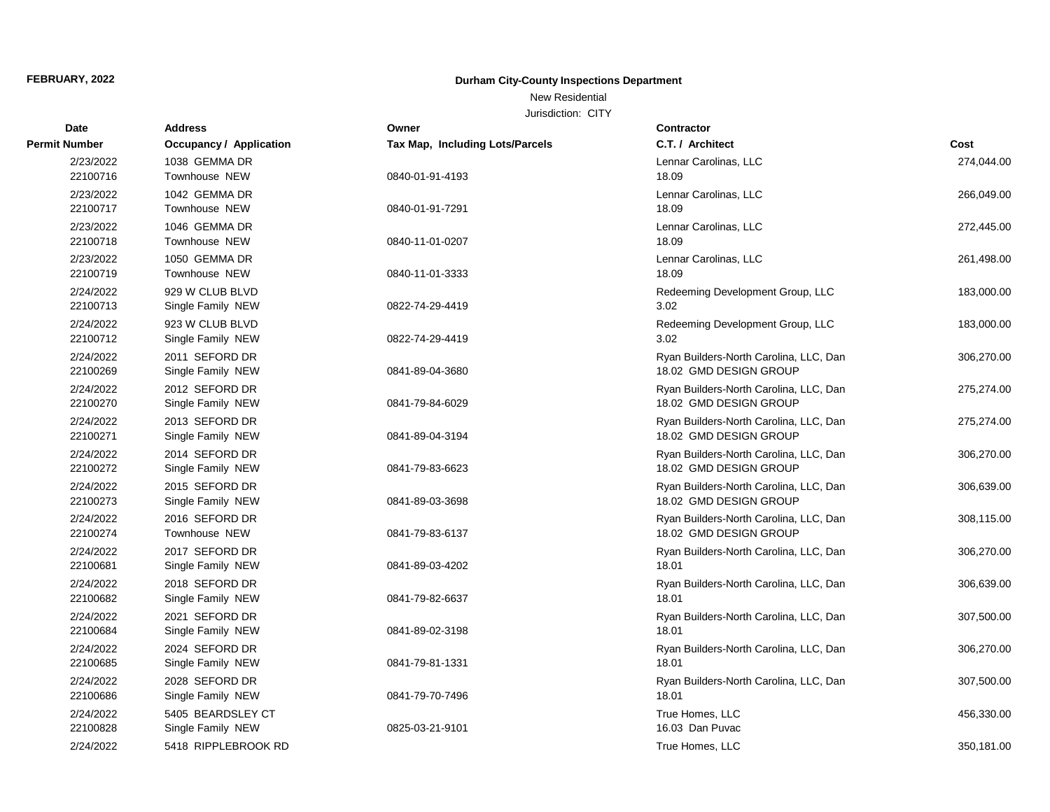### New Residential

| Date                  | <b>Address</b>                      | Owner                           | <b>Contractor</b>                               |            |
|-----------------------|-------------------------------------|---------------------------------|-------------------------------------------------|------------|
| <b>Permit Number</b>  | Occupancy / Application             | Tax Map, Including Lots/Parcels | C.T. / Architect                                | Cost       |
| 2/23/2022             | 1038 GEMMA DR                       |                                 | Lennar Carolinas, LLC                           | 274,044.00 |
| 22100716              | Townhouse NEW                       | 0840-01-91-4193                 | 18.09                                           |            |
| 2/23/2022             | 1042 GEMMA DR                       |                                 | Lennar Carolinas, LLC                           | 266,049.00 |
| 22100717              | Townhouse NEW                       | 0840-01-91-7291                 | 18.09                                           |            |
| 2/23/2022             | 1046 GEMMA DR                       |                                 | Lennar Carolinas, LLC                           | 272,445.00 |
| 22100718              | Townhouse NEW                       | 0840-11-01-0207                 | 18.09                                           |            |
| 2/23/2022             | 1050 GEMMA DR                       |                                 | Lennar Carolinas, LLC                           | 261,498.00 |
| 22100719              | Townhouse NEW                       | 0840-11-01-3333                 | 18.09                                           |            |
| 2/24/2022             | 929 W CLUB BLVD                     |                                 | Redeeming Development Group, LLC                | 183,000.00 |
| 22100713              | Single Family NEW                   | 0822-74-29-4419                 | 3.02                                            |            |
| 2/24/2022             | 923 W CLUB BLVD                     |                                 | Redeeming Development Group, LLC                | 183,000.00 |
| 22100712              | Single Family NEW                   | 0822-74-29-4419                 | 3.02                                            |            |
| 2/24/2022             | 2011 SEFORD DR                      |                                 | Ryan Builders-North Carolina, LLC, Dan          | 306,270.00 |
| 22100269              | Single Family NEW                   | 0841-89-04-3680                 | 18.02 GMD DESIGN GROUP                          |            |
| 2/24/2022             | 2012 SEFORD DR                      |                                 | Ryan Builders-North Carolina, LLC, Dan          | 275,274.00 |
| 22100270              | Single Family NEW                   | 0841-79-84-6029                 | 18.02 GMD DESIGN GROUP                          |            |
| 2/24/2022             | 2013 SEFORD DR                      |                                 | Ryan Builders-North Carolina, LLC, Dan          | 275,274.00 |
| 22100271              | Single Family NEW                   | 0841-89-04-3194                 | 18.02 GMD DESIGN GROUP                          |            |
| 2/24/2022             | 2014 SEFORD DR                      |                                 | Ryan Builders-North Carolina, LLC, Dan          | 306,270.00 |
| 22100272              | Single Family NEW                   | 0841-79-83-6623                 | 18.02 GMD DESIGN GROUP                          |            |
| 2/24/2022             | 2015 SEFORD DR                      |                                 | Ryan Builders-North Carolina, LLC, Dan          | 306,639.00 |
| 22100273              | Single Family NEW                   | 0841-89-03-3698                 | 18.02 GMD DESIGN GROUP                          |            |
| 2/24/2022             | 2016 SEFORD DR                      |                                 | Ryan Builders-North Carolina, LLC, Dan          | 308,115.00 |
| 22100274              | Townhouse NEW                       | 0841-79-83-6137                 | 18.02 GMD DESIGN GROUP                          |            |
| 2/24/2022<br>22100681 | 2017 SEFORD DR                      |                                 | Ryan Builders-North Carolina, LLC, Dan<br>18.01 | 306,270.00 |
|                       | Single Family NEW                   | 0841-89-03-4202                 |                                                 |            |
| 2/24/2022<br>22100682 | 2018 SEFORD DR<br>Single Family NEW | 0841-79-82-6637                 | Ryan Builders-North Carolina, LLC, Dan<br>18.01 | 306,639.00 |
|                       |                                     |                                 |                                                 |            |
| 2/24/2022<br>22100684 | 2021 SEFORD DR<br>Single Family NEW | 0841-89-02-3198                 | Ryan Builders-North Carolina, LLC, Dan<br>18.01 | 307,500.00 |
| 2/24/2022             | 2024 SEFORD DR                      |                                 |                                                 |            |
| 22100685              | Single Family NEW                   | 0841-79-81-1331                 | Ryan Builders-North Carolina, LLC, Dan<br>18.01 | 306,270.00 |
| 2/24/2022             | 2028 SEFORD DR                      |                                 | Ryan Builders-North Carolina, LLC, Dan          | 307,500.00 |
| 22100686              | Single Family NEW                   | 0841-79-70-7496                 | 18.01                                           |            |
| 2/24/2022             | 5405 BEARDSLEY CT                   |                                 | True Homes, LLC                                 | 456,330.00 |
| 22100828              | Single Family NEW                   | 0825-03-21-9101                 | 16.03 Dan Puvac                                 |            |
| 2/24/2022             | 5418 RIPPLEBROOK RD                 |                                 | True Homes, LLC                                 | 350,181.00 |
|                       |                                     |                                 |                                                 |            |